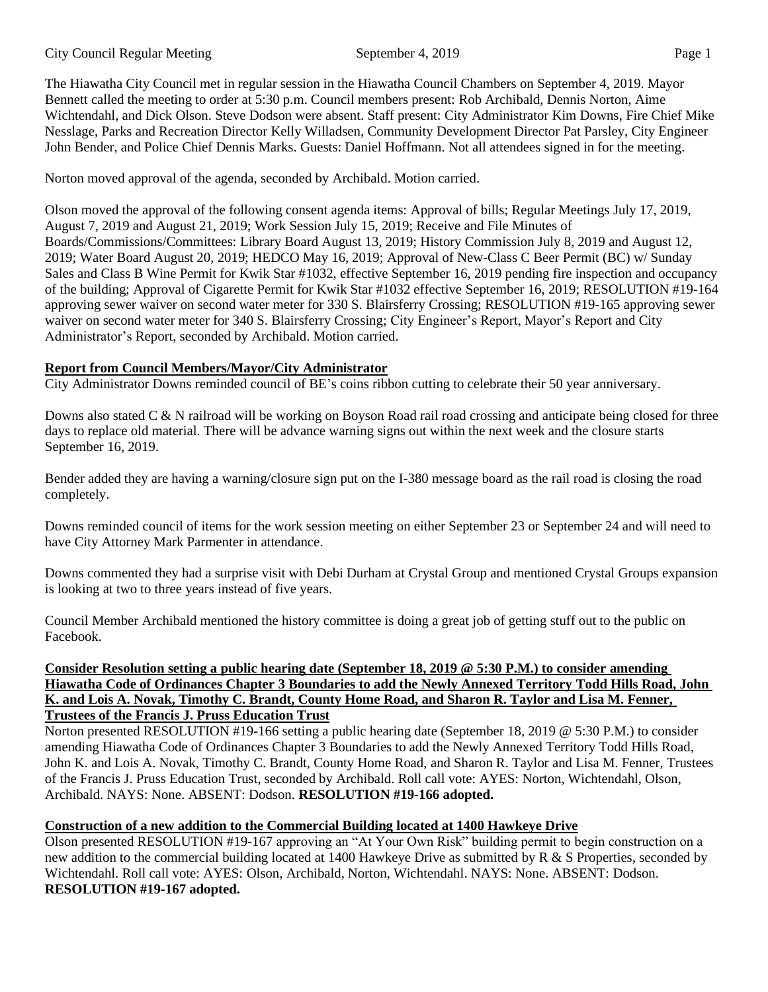The Hiawatha City Council met in regular session in the Hiawatha Council Chambers on September 4, 2019. Mayor Bennett called the meeting to order at 5:30 p.m. Council members present: Rob Archibald, Dennis Norton, Aime Wichtendahl, and Dick Olson. Steve Dodson were absent. Staff present: City Administrator Kim Downs, Fire Chief Mike Nesslage, Parks and Recreation Director Kelly Willadsen, Community Development Director Pat Parsley, City Engineer John Bender, and Police Chief Dennis Marks. Guests: Daniel Hoffmann. Not all attendees signed in for the meeting.

Norton moved approval of the agenda, seconded by Archibald. Motion carried.

Olson moved the approval of the following consent agenda items: Approval of bills; Regular Meetings July 17, 2019, August 7, 2019 and August 21, 2019; Work Session July 15, 2019; Receive and File Minutes of Boards/Commissions/Committees: Library Board August 13, 2019; History Commission July 8, 2019 and August 12, 2019; Water Board August 20, 2019; HEDCO May 16, 2019; Approval of New-Class C Beer Permit (BC) w/ Sunday Sales and Class B Wine Permit for Kwik Star #1032, effective September 16, 2019 pending fire inspection and occupancy of the building; Approval of Cigarette Permit for Kwik Star #1032 effective September 16, 2019; RESOLUTION #19-164 approving sewer waiver on second water meter for 330 S. Blairsferry Crossing; RESOLUTION #19-165 approving sewer waiver on second water meter for 340 S. Blairsferry Crossing; City Engineer's Report, Mayor's Report and City Administrator's Report, seconded by Archibald. Motion carried.

## **Report from Council Members/Mayor/City Administrator**

City Administrator Downs reminded council of BE's coins ribbon cutting to celebrate their 50 year anniversary.

Downs also stated C & N railroad will be working on Boyson Road rail road crossing and anticipate being closed for three days to replace old material. There will be advance warning signs out within the next week and the closure starts September 16, 2019.

Bender added they are having a warning/closure sign put on the I-380 message board as the rail road is closing the road completely.

Downs reminded council of items for the work session meeting on either September 23 or September 24 and will need to have City Attorney Mark Parmenter in attendance.

Downs commented they had a surprise visit with Debi Durham at Crystal Group and mentioned Crystal Groups expansion is looking at two to three years instead of five years.

Council Member Archibald mentioned the history committee is doing a great job of getting stuff out to the public on Facebook.

#### **Consider Resolution setting a public hearing date (September 18, 2019 @ 5:30 P.M.) to consider amending Hiawatha Code of Ordinances Chapter 3 Boundaries to add the Newly Annexed Territory Todd Hills Road, John K. and Lois A. Novak, Timothy C. Brandt, County Home Road, and Sharon R. Taylor and Lisa M. Fenner, Trustees of the Francis J. Pruss Education Trust**

Norton presented RESOLUTION #19-166 setting a public hearing date (September 18, 2019 @ 5:30 P.M.) to consider amending Hiawatha Code of Ordinances Chapter 3 Boundaries to add the Newly Annexed Territory Todd Hills Road, John K. and Lois A. Novak, Timothy C. Brandt, County Home Road, and Sharon R. Taylor and Lisa M. Fenner, Trustees of the Francis J. Pruss Education Trust, seconded by Archibald. Roll call vote: AYES: Norton, Wichtendahl, Olson, Archibald. NAYS: None. ABSENT: Dodson. **RESOLUTION #19-166 adopted.**

# **Construction of a new addition to the Commercial Building located at 1400 Hawkeye Drive**

Olson presented RESOLUTION #19-167 approving an "At Your Own Risk" building permit to begin construction on a new addition to the commercial building located at 1400 Hawkeye Drive as submitted by R & S Properties, seconded by Wichtendahl. Roll call vote: AYES: Olson, Archibald, Norton, Wichtendahl. NAYS: None. ABSENT: Dodson. **RESOLUTION #19-167 adopted.**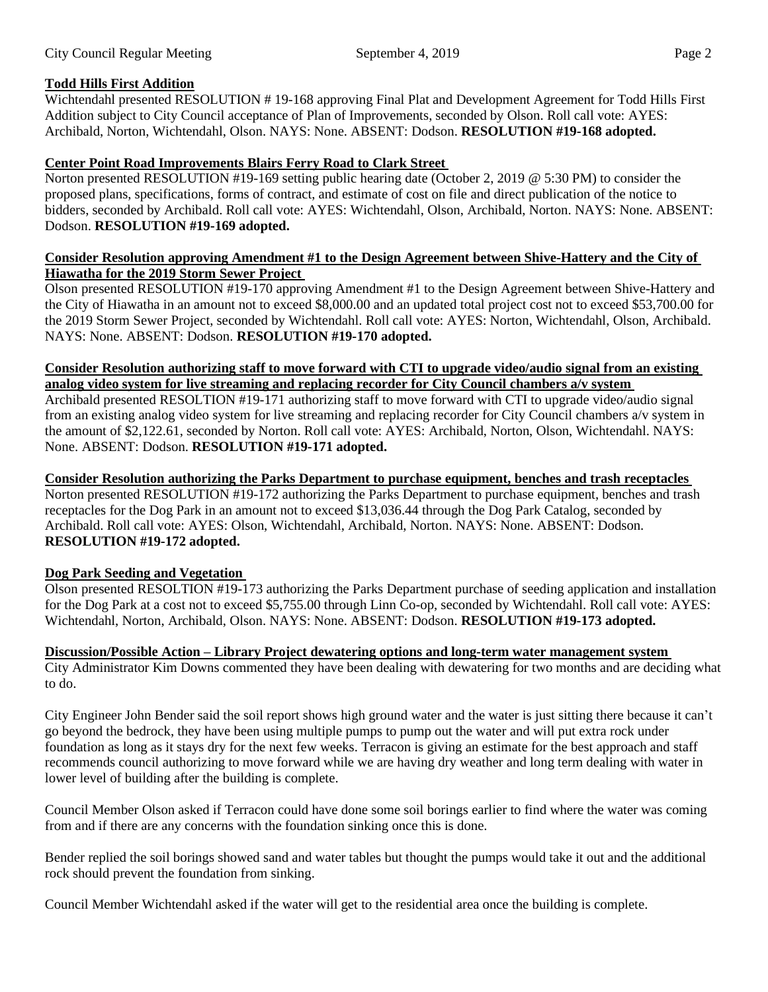### **Todd Hills First Addition**

Wichtendahl presented RESOLUTION # 19-168 approving Final Plat and Development Agreement for Todd Hills First Addition subject to City Council acceptance of Plan of Improvements, seconded by Olson. Roll call vote: AYES: Archibald, Norton, Wichtendahl, Olson. NAYS: None. ABSENT: Dodson. **RESOLUTION #19-168 adopted.** 

#### **Center Point Road Improvements Blairs Ferry Road to Clark Street**

Norton presented RESOLUTION #19-169 setting public hearing date (October 2, 2019 @ 5:30 PM) to consider the proposed plans, specifications, forms of contract, and estimate of cost on file and direct publication of the notice to bidders, seconded by Archibald. Roll call vote: AYES: Wichtendahl, Olson, Archibald, Norton. NAYS: None. ABSENT: Dodson. **RESOLUTION #19-169 adopted.**

#### **Consider Resolution approving Amendment #1 to the Design Agreement between Shive-Hattery and the City of Hiawatha for the 2019 Storm Sewer Project**

Olson presented RESOLUTION #19-170 approving Amendment #1 to the Design Agreement between Shive-Hattery and the City of Hiawatha in an amount not to exceed \$8,000.00 and an updated total project cost not to exceed \$53,700.00 for the 2019 Storm Sewer Project, seconded by Wichtendahl. Roll call vote: AYES: Norton, Wichtendahl, Olson, Archibald. NAYS: None. ABSENT: Dodson. **RESOLUTION #19-170 adopted.**

#### **Consider Resolution authorizing staff to move forward with CTI to upgrade video/audio signal from an existing analog video system for live streaming and replacing recorder for City Council chambers a/v system**

Archibald presented RESOLTION #19-171 authorizing staff to move forward with CTI to upgrade video/audio signal from an existing analog video system for live streaming and replacing recorder for City Council chambers a/v system in the amount of \$2,122.61, seconded by Norton. Roll call vote: AYES: Archibald, Norton, Olson, Wichtendahl. NAYS: None. ABSENT: Dodson. **RESOLUTION #19-171 adopted.** 

### **Consider Resolution authorizing the Parks Department to purchase equipment, benches and trash receptacles**

Norton presented RESOLUTION #19-172 authorizing the Parks Department to purchase equipment, benches and trash receptacles for the Dog Park in an amount not to exceed \$13,036.44 through the Dog Park Catalog, seconded by Archibald. Roll call vote: AYES: Olson, Wichtendahl, Archibald, Norton. NAYS: None. ABSENT: Dodson. **RESOLUTION #19-172 adopted.**

## **Dog Park Seeding and Vegetation**

Olson presented RESOLTION #19-173 authorizing the Parks Department purchase of seeding application and installation for the Dog Park at a cost not to exceed \$5,755.00 through Linn Co-op, seconded by Wichtendahl. Roll call vote: AYES: Wichtendahl, Norton, Archibald, Olson. NAYS: None. ABSENT: Dodson. **RESOLUTION #19-173 adopted.**

#### **Discussion/Possible Action – Library Project dewatering options and long-term water management system**

City Administrator Kim Downs commented they have been dealing with dewatering for two months and are deciding what to do.

City Engineer John Bender said the soil report shows high ground water and the water is just sitting there because it can't go beyond the bedrock, they have been using multiple pumps to pump out the water and will put extra rock under foundation as long as it stays dry for the next few weeks. Terracon is giving an estimate for the best approach and staff recommends council authorizing to move forward while we are having dry weather and long term dealing with water in lower level of building after the building is complete.

Council Member Olson asked if Terracon could have done some soil borings earlier to find where the water was coming from and if there are any concerns with the foundation sinking once this is done.

Bender replied the soil borings showed sand and water tables but thought the pumps would take it out and the additional rock should prevent the foundation from sinking.

Council Member Wichtendahl asked if the water will get to the residential area once the building is complete.